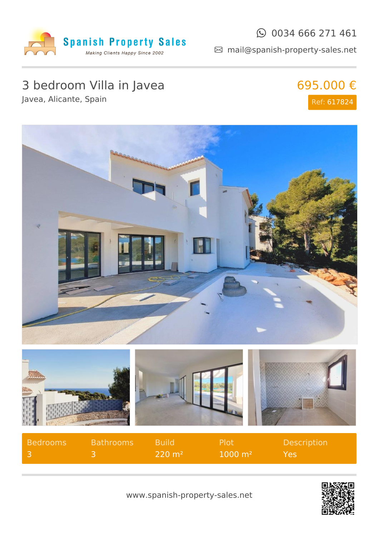

#### $\odot$  0034 666 271 461

mail@spanish-property-sales.net

## 3 bedroom Villa in Javea

Javea, Alicante, Spain

## 695.000 € Ref: 617824



| Bedrooms | <b>Bathrooms</b> | - Build -         | <b>Plot</b>        | <b>Description</b> |
|----------|------------------|-------------------|--------------------|--------------------|
|          |                  | $220 \text{ m}^2$ | $1000 \text{ m}^2$ | Yes \              |

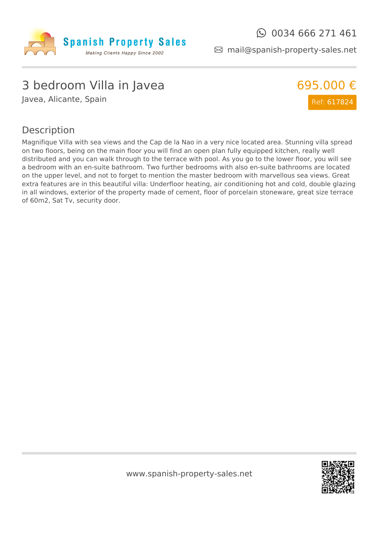

mail@spanish-property-sales.net

### 3 bedroom Villa in Javea

Javea, Alicante, Spain



#### Description

Magnifique Villa with sea views and the Cap de la Nao in a very nice located area. Stunning villa spread on two floors, being on the main floor you will find an open plan fully equipped kitchen, really well distributed and you can walk through to the terrace with pool. As you go to the lower floor, you will see a bedroom with an en-suite bathroom. Two further bedrooms with also en-suite bathrooms are located on the upper level, and not to forget to mention the master bedroom with marvellous sea views. Great extra features are in this beautiful villa: Underfloor heating, air conditioning hot and cold, double glazing in all windows, exterior of the property made of cement, floor of porcelain stoneware, great size terrace of 60m2, Sat Tv, security door.